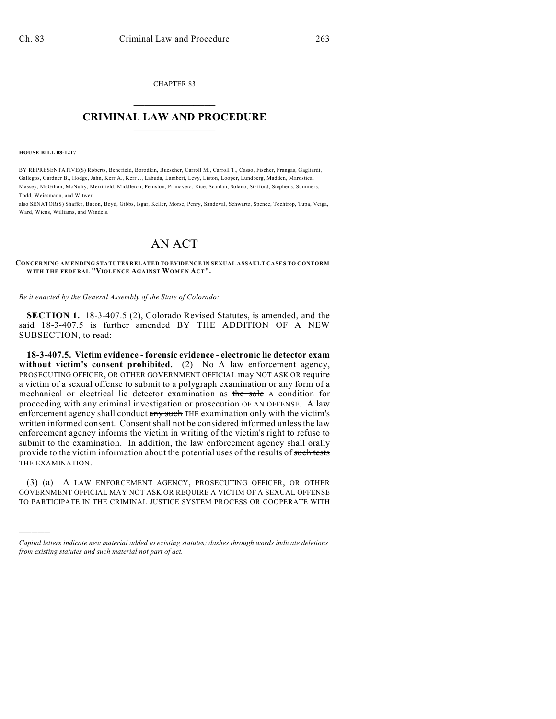CHAPTER 83  $\mathcal{L}_\text{max}$  . The set of the set of the set of the set of the set of the set of the set of the set of the set of the set of the set of the set of the set of the set of the set of the set of the set of the set of the set

## **CRIMINAL LAW AND PROCEDURE**  $\_$

**HOUSE BILL 08-1217**

)))))

BY REPRESENTATIVE(S) Roberts, Benefield, Borodkin, Buescher, Carroll M., Carroll T., Casso, Fischer, Frangas, Gagliardi, Gallegos, Gardner B., Hodge, Jahn, Kerr A., Kerr J., Labuda, Lambert, Levy, Liston, Looper, Lundberg, Madden, Marostica, Massey, McGihon, McNulty, Merrifield, Middleton, Peniston, Primavera, Rice, Scanlan, Solano, Stafford, Stephens, Summers, Todd, Weissmann, and Witwer;

also SENATOR(S) Shaffer, Bacon, Boyd, Gibbs, Isgar, Keller, Morse, Penry, Sandoval, Schwartz, Spence, Tochtrop, Tupa, Veiga, Ward, Wiens, Williams, and Windels.

## AN ACT

**CONCERNING AMENDING STATUTES RELATED TO EVIDENCE IN SEXUAL ASSAULT CASES TO CONFORM WITH THE FEDERAL "VIOLENCE AGAINST WOM EN ACT".**

*Be it enacted by the General Assembly of the State of Colorado:*

**SECTION 1.** 18-3-407.5 (2), Colorado Revised Statutes, is amended, and the said 18-3-407.5 is further amended BY THE ADDITION OF A NEW SUBSECTION, to read:

**18-3-407.5. Victim evidence - forensic evidence - electronic lie detector exam** without victim's consent prohibited.  $(2)$  No A law enforcement agency, PROSECUTING OFFICER, OR OTHER GOVERNMENT OFFICIAL may NOT ASK OR require a victim of a sexual offense to submit to a polygraph examination or any form of a mechanical or electrical lie detector examination as the sole A condition for proceeding with any criminal investigation or prosecution OF AN OFFENSE. A law enforcement agency shall conduct any such THE examination only with the victim's written informed consent. Consent shall not be considered informed unless the law enforcement agency informs the victim in writing of the victim's right to refuse to submit to the examination. In addition, the law enforcement agency shall orally provide to the victim information about the potential uses of the results of such tests THE EXAMINATION.

(3) (a) A LAW ENFORCEMENT AGENCY, PROSECUTING OFFICER, OR OTHER GOVERNMENT OFFICIAL MAY NOT ASK OR REQUIRE A VICTIM OF A SEXUAL OFFENSE TO PARTICIPATE IN THE CRIMINAL JUSTICE SYSTEM PROCESS OR COOPERATE WITH

*Capital letters indicate new material added to existing statutes; dashes through words indicate deletions from existing statutes and such material not part of act.*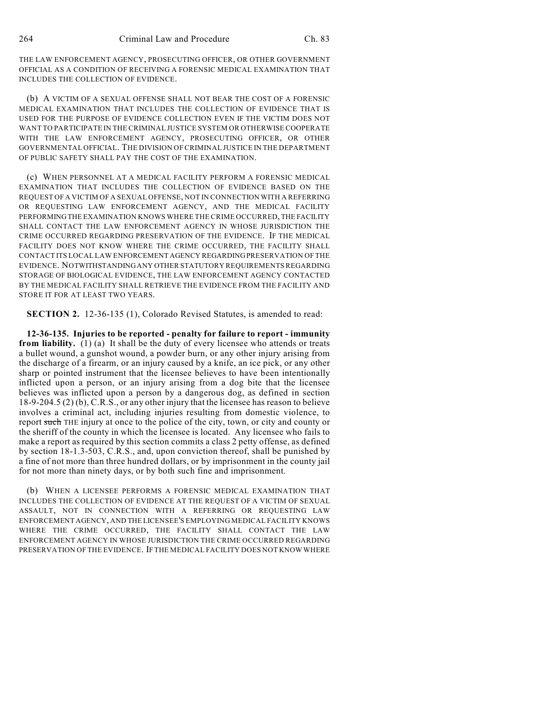THE LAW ENFORCEMENT AGENCY, PROSECUTING OFFICER, OR OTHER GOVERNMENT OFFICIAL AS A CONDITION OF RECEIVING A FORENSIC MEDICAL EXAMINATION THAT INCLUDES THE COLLECTION OF EVIDENCE.

(b) A VICTIM OF A SEXUAL OFFENSE SHALL NOT BEAR THE COST OF A FORENSIC MEDICAL EXAMINATION THAT INCLUDES THE COLLECTION OF EVIDENCE THAT IS USED FOR THE PURPOSE OF EVIDENCE COLLECTION EVEN IF THE VICTIM DOES NOT WANT TO PARTICIPATE IN THE CRIMINAL JUSTICE SYSTEM OR OTHERWISE COOPERATE WITH THE LAW ENFORCEMENT AGENCY, PROSECUTING OFFICER, OR OTHER GOVERNMENTAL OFFICIAL. THE DIVISION OF CRIMINAL JUSTICE IN THE DEPARTMENT OF PUBLIC SAFETY SHALL PAY THE COST OF THE EXAMINATION.

(c) WHEN PERSONNEL AT A MEDICAL FACILITY PERFORM A FORENSIC MEDICAL EXAMINATION THAT INCLUDES THE COLLECTION OF EVIDENCE BASED ON THE REQUEST OF A VICTIM OF A SEXUAL OFFENSE, NOT IN CONNECTION WITH A REFERRING OR REQUESTING LAW ENFORCEMENT AGENCY, AND THE MEDICAL FACILITY PERFORMING THE EXAMINATION KNOWS WHERE THE CRIME OCCURRED, THE FACILITY SHALL CONTACT THE LAW ENFORCEMENT AGENCY IN WHOSE JURISDICTION THE CRIME OCCURRED REGARDING PRESERVATION OF THE EVIDENCE. IF THE MEDICAL FACILITY DOES NOT KNOW WHERE THE CRIME OCCURRED, THE FACILITY SHALL CONTACT ITS LOCAL LAW ENFORCEMENT AGENCY REGARDING PRESERVATION OF THE EVIDENCE. NOTWITHSTANDING ANY OTHER STATUTORY REQUIREMENTS REGARDING STORAGE OF BIOLOGICAL EVIDENCE, THE LAW ENFORCEMENT AGENCY CONTACTED BY THE MEDICAL FACILITY SHALL RETRIEVE THE EVIDENCE FROM THE FACILITY AND STORE IT FOR AT LEAST TWO YEARS.

**SECTION 2.** 12-36-135 (1), Colorado Revised Statutes, is amended to read:

**12-36-135. Injuries to be reported - penalty for failure to report - immunity from liability.** (1) (a) It shall be the duty of every licensee who attends or treats a bullet wound, a gunshot wound, a powder burn, or any other injury arising from the discharge of a firearm, or an injury caused by a knife, an ice pick, or any other sharp or pointed instrument that the licensee believes to have been intentionally inflicted upon a person, or an injury arising from a dog bite that the licensee believes was inflicted upon a person by a dangerous dog, as defined in section 18-9-204.5 (2) (b), C.R.S., or any other injury that the licensee has reason to believe involves a criminal act, including injuries resulting from domestic violence, to report such THE injury at once to the police of the city, town, or city and county or the sheriff of the county in which the licensee is located. Any licensee who fails to make a report as required by this section commits a class 2 petty offense, as defined by section 18-1.3-503, C.R.S., and, upon conviction thereof, shall be punished by a fine of not more than three hundred dollars, or by imprisonment in the county jail for not more than ninety days, or by both such fine and imprisonment.

(b) WHEN A LICENSEE PERFORMS A FORENSIC MEDICAL EXAMINATION THAT INCLUDES THE COLLECTION OF EVIDENCE AT THE REQUEST OF A VICTIM OF SEXUAL ASSAULT, NOT IN CONNECTION WITH A REFERRING OR REQUESTING LAW ENFORCEMENT AGENCY, AND THE LICENSEE'S EMPLOYING MEDICAL FACILITY KNOWS WHERE THE CRIME OCCURRED, THE FACILITY SHALL CONTACT THE LAW ENFORCEMENT AGENCY IN WHOSE JURISDICTION THE CRIME OCCURRED REGARDING PRESERVATION OF THE EVIDENCE. IF THE MEDICAL FACILITY DOES NOT KNOW WHERE